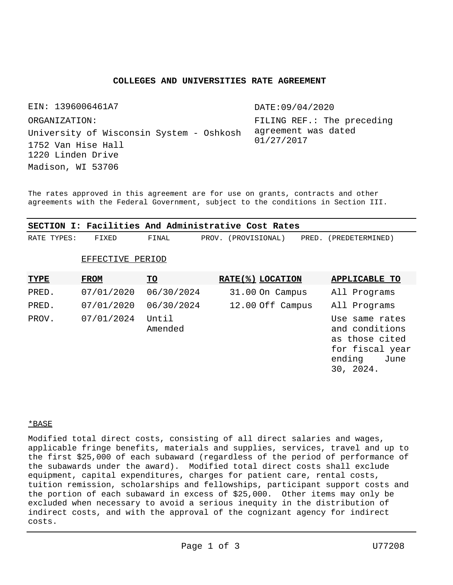# **COLLEGES AND UNIVERSITIES RATE AGREEMENT**

EIN: 1396006461A7 University of Wisconsin System - Oshkosh Madison, WI 53706 ORGANIZATION: 1752 Van Hise Hall 1220 Linden Drive

DATE:09/04/2020

FILING REF.: The preceding agreement was dated 01/27/2017

The rates approved in this agreement are for use on grants, contracts and other agreements with the Federal Government, subject to the conditions in Section III.

|             |                  |                  | SECTION I: Facilities And Administrative Cost Rates |                                                                                                      |
|-------------|------------------|------------------|-----------------------------------------------------|------------------------------------------------------------------------------------------------------|
| RATE TYPES: | FIXED            | FINAL            | (PROVISIONAL)<br>PROV.<br>PRED.                     | (PREDETERMINED)                                                                                      |
|             | EFFECTIVE PERIOD |                  |                                                     |                                                                                                      |
| <u>TYPE</u> | <b>FROM</b>      | <u>TO</u>        | RATE(%) LOCATION                                    | <b>APPLICABLE TO</b>                                                                                 |
| PRED.       | 07/01/2020       | 06/30/2024       | 31.00 On Campus                                     | All Programs                                                                                         |
| PRED.       | 07/01/2020       | 06/30/2024       | 12.00 Off Campus                                    | All Programs                                                                                         |
| PROV.       | 07/01/2024       | Until<br>Amended |                                                     | Use same rates<br>and conditions<br>as those cited<br>for fiscal year<br>ending<br>June<br>30, 2024. |

\*BASE

Modified total direct costs, consisting of all direct salaries and wages, applicable fringe benefits, materials and supplies, services, travel and up to the first \$25,000 of each subaward (regardless of the period of performance of the subawards under the award). Modified total direct costs shall exclude equipment, capital expenditures, charges for patient care, rental costs, tuition remission, scholarships and fellowships, participant support costs and the portion of each subaward in excess of \$25,000. Other items may only be excluded when necessary to avoid a serious inequity in the distribution of indirect costs, and with the approval of the cognizant agency for indirect costs.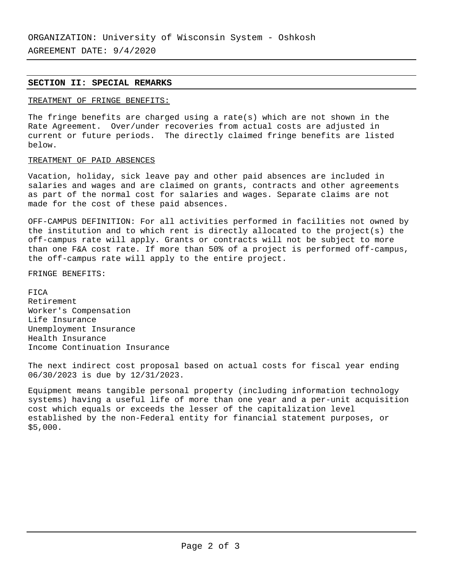AGREEMENT DATE: 9/4/2020

# **SECTION II: SPECIAL REMARKS**

# TREATMENT OF FRINGE BENEFITS:

The fringe benefits are charged using a rate(s) which are not shown in the Rate Agreement. Over/under recoveries from actual costs are adjusted in current or future periods. The directly claimed fringe benefits are listed below.

# TREATMENT OF PAID ABSENCES

Vacation, holiday, sick leave pay and other paid absences are included in salaries and wages and are claimed on grants, contracts and other agreements as part of the normal cost for salaries and wages. Separate claims are not made for the cost of these paid absences.

OFF-CAMPUS DEFINITION: For all activities performed in facilities not owned by the institution and to which rent is directly allocated to the project(s) the off-campus rate will apply. Grants or contracts will not be subject to more than one F&A cost rate. If more than 50% of a project is performed off-campus, the off-campus rate will apply to the entire project.

FRINGE BENEFITS:

FICA Retirement Worker's Compensation Life Insurance Unemployment Insurance Health Insurance Income Continuation Insurance

The next indirect cost proposal based on actual costs for fiscal year ending 06/30/2023 is due by 12/31/2023.

Equipment means tangible personal property (including information technology systems) having a useful life of more than one year and a per-unit acquisition cost which equals or exceeds the lesser of the capitalization level established by the non-Federal entity for financial statement purposes, or \$5,000.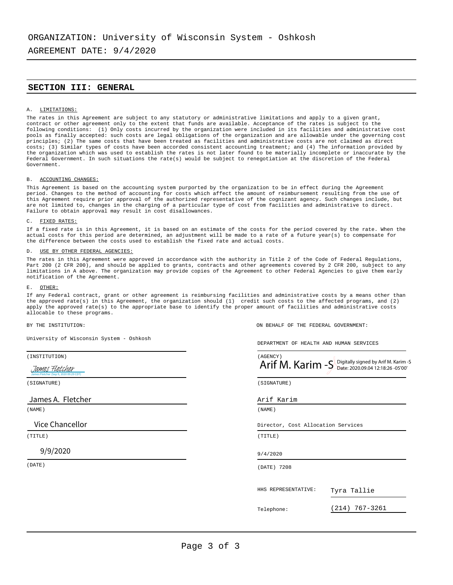AGREEMENT DATE: 9/4/2020

# **SECTION III: GENERAL**

#### A. LIMITATIONS:

The rates in this Agreement are subject to any statutory or administrative limitations and apply to a given grant, contract or other agreement only to the extent that funds are available. Acceptance of the rates is subject to the following conditions: (1) Only costs incurred by the organization were included in its facilities and administrative cost pools as finally accepted: such costs are legal obligations of the organization and are allowable under the governing cost principles; (2) The same costs that have been treated as facilities and administrative costs are not claimed as direct costs; (3) Similar types of costs have been accorded consistent accounting treatment; and (4) The information provided by the organization which was used to establish the rates is not later found to be materially incomplete or inaccurate by the Federal Government. In such situations the rate(s) would be subject to renegotiation at the discretion of the Federal Government.

#### B. ACCOUNTING CHANGES:

This Agreement is based on the accounting system purported by the organization to be in effect during the Agreement period. Changes to the method of accounting for costs which affect the amount of reimbursement resulting from the use of this Agreement require prior approval of the authorized representative of the cognizant agency. Such changes include, but are not limited to, changes in the charging of a particular type of cost from facilities and administrative to direct. Failure to obtain approval may result in cost disallowances.

#### C. FIXED RATES:

If a fixed rate is in this Agreement, it is based on an estimate of the costs for the period covered by the rate. When the actual costs for this period are determined, an adjustment will be made to a rate of a future year(s) to compensate for the difference between the costs used to establish the fixed rate and actual costs.

#### D. USE BY OTHER FEDERAL AGENCIES:

The rates in this Agreement were approved in accordance with the authority in Title 2 of the Code of Federal Regulations, Part 200 (2 CFR 200), and should be applied to grants, contracts and other agreements covered by 2 CFR 200, subject to any limitations in A above. The organization may provide copies of the Agreement to other Federal Agencies to give them early notification of the Agreement.

#### E. OTHER:

If any Federal contract, grant or other agreement is reimbursing facilities and administrative costs by a means other than the approved rate(s) in this Agreement, the organization should (1) credit such costs to the affected programs, and (2) apply the approved rate(s) to the appropriate base to identify the proper amount of facilities and administrative costs allocable to these programs.

University of Wisconsin System - Oshkosh

### 9/9/2020

BY THE INSTITUTION: ON BEHALF OF THE FEDERAL GOVERNMENT:

DEPARTMENT OF HEALTH AND HUMAN SERVICES

| (INSTITUTION)                                            | (AGENCY)                                                |                |
|----------------------------------------------------------|---------------------------------------------------------|----------------|
| James Fletcher<br>James Fletcher (Sep 9, 2020 09:29 CDT) | Arif M. Karim $-S$ Digitally signed by Arif M. Karim -S |                |
| (SIGNATURE)                                              | (SIGNATURE)                                             |                |
| James A. Fletcher                                        | Arif Karim                                              |                |
| (NAME)                                                   | (NAME)                                                  |                |
| Vice Chancellor                                          | Director, Cost Allocation Services                      |                |
| (TITLE)                                                  | (TITLE)                                                 |                |
| 9/9/2020                                                 | 9/4/2020                                                |                |
| (DATE)                                                   | (DATE) 7208                                             |                |
|                                                          | HHS REPRESENTATIVE:<br>Tyra Tallie                      |                |
|                                                          | Telephone:                                              | (214) 767-3261 |
|                                                          |                                                         |                |